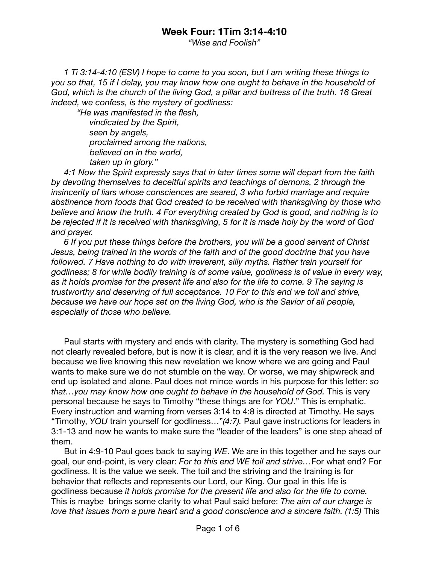## **Week Four: 1Tim 3:14-4:10**

*"Wise and Foolish"* 

*1 Ti 3:14-4:10 (ESV) I hope to come to you soon, but I am writing these things to you so that, 15 if I delay, you may know how one ought to behave in the household of God, which is the church of the living God, a pillar and buttress of the truth. 16 Great indeed, we confess, is the mystery of godliness:* 

*"He was manifested in the flesh, vindicated by the Spirit, seen by angels, proclaimed among the nations, believed on in the world, taken up in glory."* 

*4:1 Now the Spirit expressly says that in later times some will depart from the faith by devoting themselves to deceitful spirits and teachings of demons, 2 through the insincerity of liars whose consciences are seared, 3 who forbid marriage and require abstinence from foods that God created to be received with thanksgiving by those who believe and know the truth. 4 For everything created by God is good, and nothing is to be rejected if it is received with thanksgiving, 5 for it is made holy by the word of God and prayer.* 

*6 If you put these things before the brothers, you will be a good servant of Christ Jesus, being trained in the words of the faith and of the good doctrine that you have followed. 7 Have nothing to do with irreverent, silly myths. Rather train yourself for godliness; 8 for while bodily training is of some value, godliness is of value in every way, as it holds promise for the present life and also for the life to come. 9 The saying is trustworthy and deserving of full acceptance. 10 For to this end we toil and strive, because we have our hope set on the living God, who is the Savior of all people, especially of those who believe.* 

Paul starts with mystery and ends with clarity. The mystery is something God had not clearly revealed before, but is now it is clear, and it is the very reason we live. And because we live knowing this new revelation we know where we are going and Paul wants to make sure we do not stumble on the way. Or worse, we may shipwreck and end up isolated and alone. Paul does not mince words in his purpose for this letter: *so that…you may know how one ought to behave in the household of God.* This is very personal because he says to Timothy "these things are for *YOU*." This is emphatic. Every instruction and warning from verses 3:14 to 4:8 is directed at Timothy. He says "Timothy, *YOU* train yourself for godliness…"*(4:7).* Paul gave instructions for leaders in 3:1-13 and now he wants to make sure the "leader of the leaders" is one step ahead of them.

But in 4:9-10 Paul goes back to saying *WE*. We are in this together and he says our goal, our end-point, is very clear: *For to this end WE toil and strive…*For what end? For godliness. It is the value we seek. The toil and the striving and the training is for behavior that reflects and represents our Lord, our King. Our goal in this life is godliness because *it holds promise for the present life and also for the life to come.*  This is maybe brings some clarity to what Paul said before: *The aim of our charge is love that issues from a pure heart and a good conscience and a sincere faith. (1:5)* This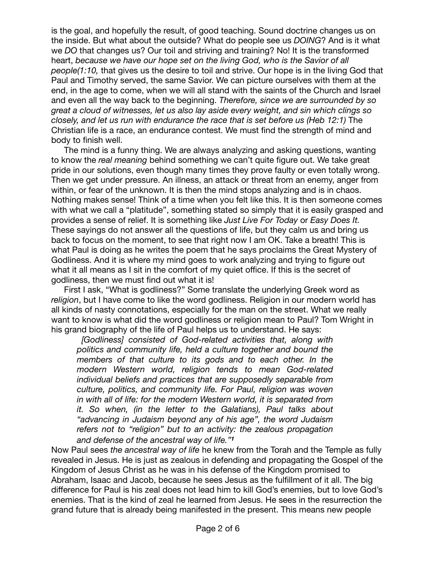is the goal, and hopefully the result, of good teaching. Sound doctrine changes us on the inside. But what about the outside? What do people see us *DOING*? And is it what we *DO* that changes us? Our toil and striving and training? No! It is the transformed heart, *because we have our hope set on the living God, who is the Savior of all people(1:10,* that gives us the desire to toil and strive. Our hope is in the living God that Paul and Timothy served, the same Savior. We can picture ourselves with them at the end, in the age to come, when we will all stand with the saints of the Church and Israel and even all the way back to the beginning. *Therefore, since we are surrounded by so great a cloud of witnesses, let us also lay aside every weight, and sin which clings so closely, and let us run with endurance the race that is set before us (Heb 12:1)* The Christian life is a race, an endurance contest. We must find the strength of mind and body to finish well.

The mind is a funny thing. We are always analyzing and asking questions, wanting to know the *real meaning* behind something we can't quite figure out. We take great pride in our solutions, even though many times they prove faulty or even totally wrong. Then we get under pressure. An illness, an attack or threat from an enemy, anger from within, or fear of the unknown. It is then the mind stops analyzing and is in chaos. Nothing makes sense! Think of a time when you felt like this. It is then someone comes with what we call a "platitude", something stated so simply that it is easily grasped and provides a sense of relief. It is something like *Just Live For Today* or *Easy Does It.* These sayings do not answer all the questions of life, but they calm us and bring us back to focus on the moment, to see that right now I am OK. Take a breath! This is what Paul is doing as he writes the poem that he says proclaims the Great Mystery of Godliness. And it is where my mind goes to work analyzing and trying to figure out what it all means as I sit in the comfort of my quiet office. If this is the secret of godliness, then we must find out what it is!

First I ask, "What is godliness?" Some translate the underlying Greek word as *religion*, but I have come to like the word godliness. Religion in our modern world has all kinds of nasty connotations, especially for the man on the street. What we really want to know is what did the word godliness or religion mean to Paul? Tom Wright in his grand biography of the life of Paul helps us to understand. He says:

 *[Godliness] consisted of God-related activities that, along with politics and community life, held a culture together and bound the members of that culture to its gods and to each other. In the modern Western world, religion tends to mean God-related individual beliefs and practices that are supposedly separable from culture, politics, and community life. For Paul, religion was woven in with all of life: for the modern Western world, it is separated from it. So when, (in the letter to the Galatians), Paul talks about "advancing in Judaism beyond any of his age", the word Judaism refers not to "religion" but to an activity: the zealous propagation and defense of the ancestral way of life."<sup>1</sup>* 

Now Paul sees *the ancestral way of life* he knew from the Torah and the Temple as fully revealed in Jesus. He is just as zealous in defending and propagating the Gospel of the Kingdom of Jesus Christ as he was in his defense of the Kingdom promised to Abraham, Isaac and Jacob, because he sees Jesus as the fulfillment of it all. The big difference for Paul is his zeal does not lead him to kill God's enemies, but to love God's enemies. That is the kind of zeal he learned from Jesus. He sees in the resurrection the grand future that is already being manifested in the present. This means new people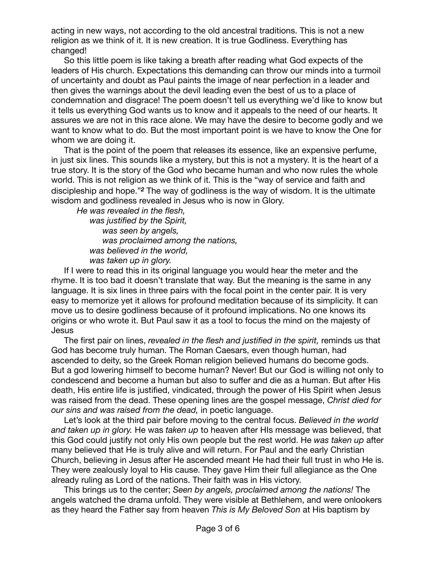acting in new ways, not according to the old ancestral traditions. This is not a new religion as we think of it. It is new creation. It is true Godliness. Everything has changed!

So this little poem is like taking a breath after reading what God expects of the leaders of His church. Expectations this demanding can throw our minds into a turmoil of uncertainty and doubt as Paul paints the image of near perfection in a leader and then gives the warnings about the devil leading even the best of us to a place of condemnation and disgrace! The poem doesn't tell us everything we'd like to know but it tells us everything God wants us to know and it appeals to the need of our hearts. It assures we are not in this race alone. We may have the desire to become godly and we want to know what to do. But the most important point is we have to know the One for whom we are doing it.

That is the point of the poem that releases its essence, like an expensive perfume, in just six lines. This sounds like a mystery, but this is not a mystery. It is the heart of a true story. It is the story of the God who became human and who now rules the whole world. This is not religion as we think of it. This is the "way of service and faith and discipleship and hope."*2* The way of godliness is the way of wisdom. It is the ultimate wisdom and godliness revealed in Jesus who is now in Glory.

*He was revealed in the flesh,* 

*was justified by the Spirit, was seen by angels, was proclaimed among the nations, was believed in the world, was taken up in glory.* 

If I were to read this in its original language you would hear the meter and the rhyme. It is too bad it doesn't translate that way. But the meaning is the same in any language. It is six lines in three pairs with the focal point in the center pair. It is very easy to memorize yet it allows for profound meditation because of its simplicity. It can move us to desire godliness because of it profound implications. No one knows its origins or who wrote it. But Paul saw it as a tool to focus the mind on the majesty of Jesus

The first pair on lines, *revealed in the flesh and justified in the spirit,* reminds us that God has become truly human. The Roman Caesars, even though human, had ascended to deity, so the Greek Roman religion believed humans do become gods. But a god lowering himself to become human? Never! But our God is willing not only to condescend and become a human but also to suffer and die as a human. But after His death, His entire life is justified, vindicated, through the power of His Spirit when Jesus was raised from the dead. These opening lines are the gospel message, *Christ died for our sins and was raised from the dead,* in poetic language.

Let's look at the third pair before moving to the central focus. *Believed in the world and taken up in glory.* He was *taken up* to heaven after HIs message was believed, that this God could justify not only His own people but the rest world. He *was taken up* after many believed that He is truly alive and will return. For Paul and the early Christian Church, believing in Jesus after He ascended meant He had their full trust in who He is. They were zealously loyal to His cause. They gave Him their full allegiance as the One already ruling as Lord of the nations. Their faith was in His victory. 

This brings us to the center; *Seen by angels, proclaimed among the nations!* The angels watched the drama unfold. They were visible at Bethlehem, and were onlookers as they heard the Father say from heaven *This is My Beloved Son* at His baptism by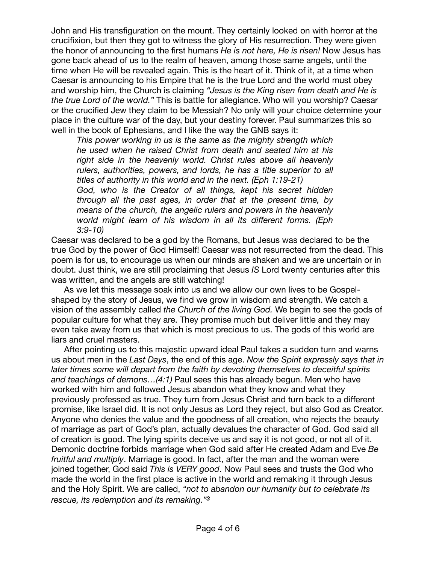John and His transfiguration on the mount. They certainly looked on with horror at the crucifixion, but then they got to witness the glory of His resurrection. They were given the honor of announcing to the first humans *He is not here, He is risen!* Now Jesus has gone back ahead of us to the realm of heaven, among those same angels, until the time when He will be revealed again. This is the heart of it. Think of it, at a time when Caesar is announcing to his Empire that he is the true Lord and the world must obey and worship him, the Church is claiming *"Jesus is the King risen from death and He is the true Lord of the world."* This is battle for allegiance. Who will you worship? Caesar or the crucified Jew they claim to be Messiah? No only will your choice determine your place in the culture war of the day, but your destiny forever. Paul summarizes this so well in the book of Ephesians, and I like the way the GNB says it:

*This power working in us is the same as the mighty strength which he used when he raised Christ from death and seated him at his right side in the heavenly world. Christ rules above all heavenly rulers, authorities, powers, and lords, he has a title superior to all titles of authority in this world and in the next. (Eph 1:19-21) God, who is the Creator of all things, kept his secret hidden through all the past ages, in order that at the present time, by means of the church, the angelic rulers and powers in the heavenly world might learn of his wisdom in all its different forms. (Eph 3:9-10)* 

Caesar was declared to be a god by the Romans, but Jesus was declared to be the true God by the power of God Himself! Caesar was not resurrected from the dead. This poem is for us, to encourage us when our minds are shaken and we are uncertain or in doubt. Just think, we are still proclaiming that Jesus *IS* Lord twenty centuries after this was written, and the angels are still watching!

As we let this message soak into us and we allow our own lives to be Gospelshaped by the story of Jesus, we find we grow in wisdom and strength. We catch a vision of the assembly called *the Church of the living God.* We begin to see the gods of popular culture for what they are. They promise much but deliver little and they may even take away from us that which is most precious to us. The gods of this world are liars and cruel masters.

After pointing us to this majestic upward ideal Paul takes a sudden turn and warns us about men in the *Last Days*, the end of this age. *Now the Spirit expressly says that in later times some will depart from the faith by devoting themselves to deceitful spirits and teachings of demons…(4:1)* Paul sees this has already begun. Men who have worked with him and followed Jesus abandon what they know and what they previously professed as true. They turn from Jesus Christ and turn back to a different promise, like Israel did. It is not only Jesus as Lord they reject, but also God as Creator. Anyone who denies the value and the goodness of all creation, who rejects the beauty of marriage as part of God's plan, actually devalues the character of God. God said all of creation is good. The lying spirits deceive us and say it is not good, or not all of it. Demonic doctrine forbids marriage when God said after He created Adam and Eve *Be fruitful and multiply*. Marriage is good. In fact, after the man and the woman were joined together, God said *This is VERY good*. Now Paul sees and trusts the God who made the world in the first place is active in the world and remaking it through Jesus and the Holy Spirit. We are called, *"not to abandon our humanity but to celebrate its rescue, its redemption and its remaking."<sup>3</sup>*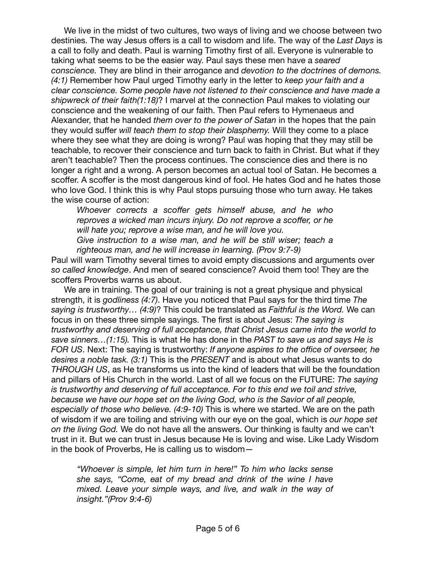We live in the midst of two cultures, two ways of living and we choose between two destinies. The way Jesus offers is a call to wisdom and life. The way of the *Last Days* is a call to folly and death. Paul is warning Timothy first of all. Everyone is vulnerable to taking what seems to be the easier way. Paul says these men have a *seared conscience.* They are blind in their arrogance and *devotion to the doctrines of demons. (4:1)* Remember how Paul urged Timothy early in the letter to *keep your faith and a clear conscience. Some people have not listened to their conscience and have made a shipwreck of their faith(1:18)*? I marvel at the connection Paul makes to violating our conscience and the weakening of our faith. Then Paul refers to Hymenaeus and Alexander, that he handed *them over to the power of Satan* in the hopes that the pain they would suffer *will teach them to stop their blasphemy.* Will they come to a place where they see what they are doing is wrong? Paul was hoping that they may still be teachable, to recover their conscience and turn back to faith in Christ. But what if they aren't teachable? Then the process continues. The conscience dies and there is no longer a right and a wrong. A person becomes an actual tool of Satan. He becomes a scoffer. A scoffer is the most dangerous kind of fool. He hates God and he hates those who love God. I think this is why Paul stops pursuing those who turn away. He takes the wise course of action:

*Whoever corrects a scoffer gets himself abuse, and he who reproves a wicked man incurs injury. Do not reprove a scoffer, or he will hate you; reprove a wise man, and he will love you. Give instruction to a wise man, and he will be still wiser; teach a righteous man, and he will increase in learning. (Prov 9:7-9)* 

Paul will warn Timothy several times to avoid empty discussions and arguments over *so called knowledge*. And men of seared conscience? Avoid them too! They are the scoffers Proverbs warns us about.

We are in training. The goal of our training is not a great physique and physical strength, it is *godliness (4:7)*. Have you noticed that Paul says for the third time *The saying is trustworthy… (4:9)*? This could be translated as *Faithful is the Word.* We can focus in on these three simple sayings. The first is about Jesus: *The saying is trustworthy and deserving of full acceptance, that Christ Jesus came into the world to save sinners…(1:15).* This is what He has done in the *PAST to save us and says He is FOR US*. Next: The saying is trustworthy: *If anyone aspires to the office of overseer, he desires a noble task. (3:1)* This is the *PRESENT* and is about what Jesus wants to do *THROUGH US*, as He transforms us into the kind of leaders that will be the foundation and pillars of His Church in the world. Last of all we focus on the FUTURE: *The saying is trustworthy and deserving of full acceptance. For to this end we toil and strive, because we have our hope set on the living God, who is the Savior of all people, especially of those who believe. (4:9-10)* This is where we started. We are on the path of wisdom if we are toiling and striving with our eye on the goal, which is *our hope set on the living God.* We do not have all the answers. Our thinking is faulty and we can't trust in it. But we can trust in Jesus because He is loving and wise. Like Lady Wisdom in the book of Proverbs, He is calling us to wisdom—

*"Whoever is simple, let him turn in here!" To him who lacks sense she says, "Come, eat of my bread and drink of the wine I have mixed. Leave your simple ways, and live, and walk in the way of insight."(Prov 9:4-6)*